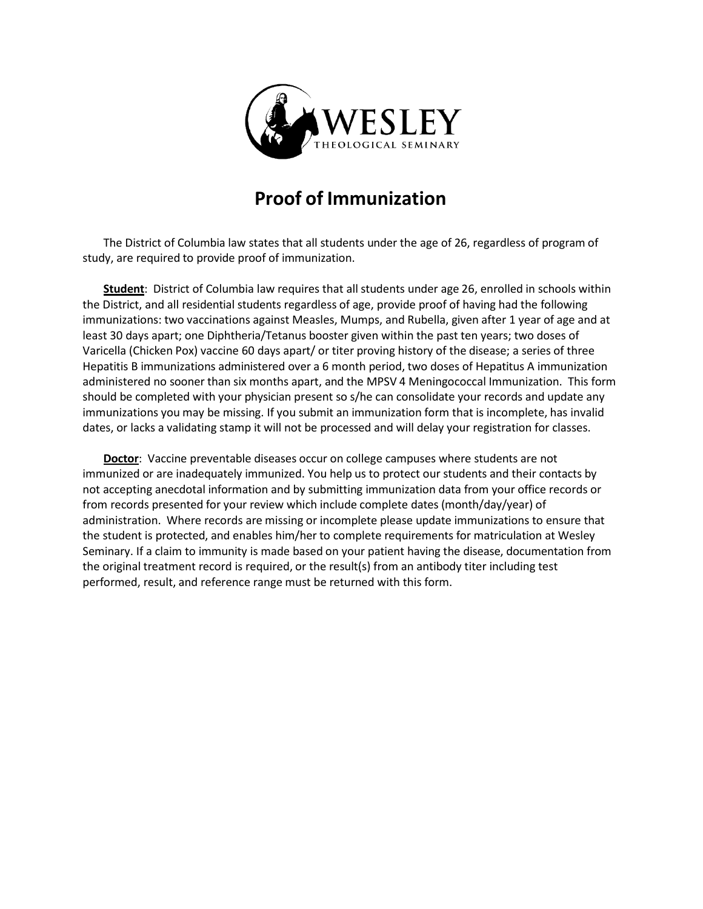

## **Proof of Immunization**

The District of Columbia law states that all students under the age of 26, regardless of program of study, are required to provide proof of immunization.

Student: District of Columbia law requires that all students under age 26, enrolled in schools within the District, and all residential students regardless of age, provide proof of having had the following immunizations: two vaccinations against Measles, Mumps, and Rubella, given after 1 year of age and at least 30 days apart; one Diphtheria/Tetanus booster given within the past ten years; two doses of Varicella (Chicken Pox) vaccine 60 days apart/ or titer proving history of the disease; a series of three Hepatitis B immunizations administered over a 6 month period, two doses of Hepatitus A immunization administered no sooner than six months apart, and the MPSV 4 Meningococcal Immunization. This form should be completed with your physician present so s/he can consolidate your records and update any immunizations you may be missing. If you submit an immunization form that is incomplete, has invalid dates, or lacks a validating stamp it will not be processed and will delay your registration for classes.

**Doctor**: Vaccine preventable diseases occur on college campuses where students are not immunized or are inadequately immunized. You help us to protect our students and their contacts by not accepting anecdotal information and by submitting immunization data from your office records or from records presented for your review which include complete dates (month/day/year) of administration. Where records are missing or incomplete please update immunizations to ensure that the student is protected, and enables him/her to complete requirements for matriculation at Wesley Seminary. If a claim to immunity is made based on your patient having the disease, documentation from the original treatment record is required, or the result(s) from an antibody titer including test performed, result, and reference range must be returned with this form.